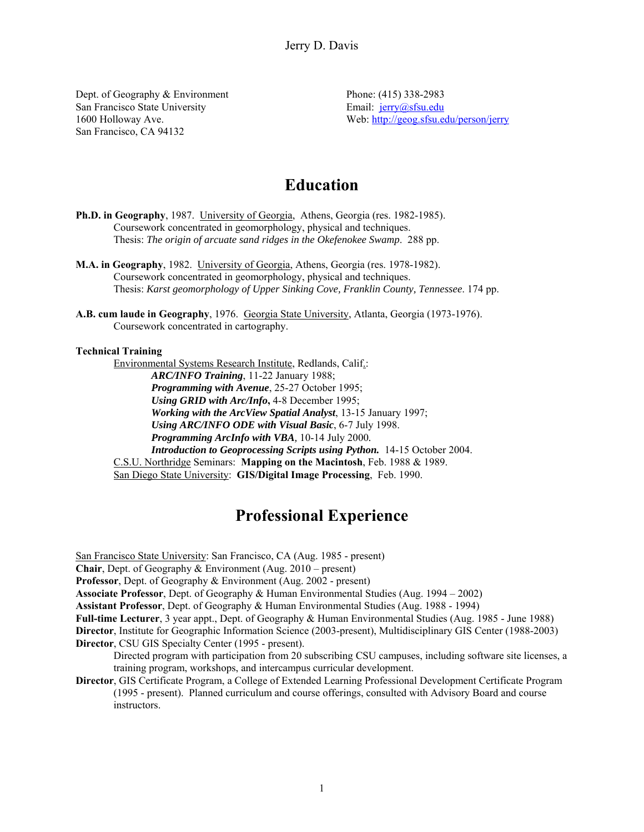Dept. of Geography & Environment San Francisco State University 1600 Holloway Ave. San Francisco, CA 94132

Phone: (415) 338-2983 Email: jerry@sfsu.edu Web: http://geog.sfsu.edu/person/jerry

# **Education**

- **Ph.D. in Geography**, 1987. University of Georgia, Athens, Georgia (res. 1982-1985). Coursework concentrated in geomorphology, physical and techniques. Thesis: *The origin of arcuate sand ridges in the Okefenokee Swamp*. 288 pp.
- **M.A. in Geography**, 1982. University of Georgia, Athens, Georgia (res. 1978-1982). Coursework concentrated in geomorphology, physical and techniques. Thesis: *Karst geomorphology of Upper Sinking Cove, Franklin County, Tennessee*. 174 pp.
- **A.B. cum laude in Geography**, 1976. Georgia State University, Atlanta, Georgia (1973-1976). Coursework concentrated in cartography.

#### **Technical Training**

Environmental Systems Research Institute, Redlands, Calif.: *ARC/INFO Training*, 11-22 January 1988; *Programming with Avenue*, 25-27 October 1995; *Using GRID with Arc/Info***,** 4-8 December 1995; *Working with the ArcView Spatial Analyst*, 13-15 January 1997; *Using ARC/INFO ODE with Visual Basic*, 6-7 July 1998. *Programming ArcInfo with VBA,* 10-14 July 2000*. Introduction to Geoprocessing Scripts using Python.* 14-15 October 2004. C.S.U. Northridge Seminars: **Mapping on the Macintosh**, Feb. 1988 & 1989. San Diego State University: **GIS/Digital Image Processing**, Feb. 1990.

# **Professional Experience**

San Francisco State University: San Francisco, CA (Aug. 1985 - present)

**Chair**, Dept. of Geography & Environment (Aug. 2010 – present)

**Professor**, Dept. of Geography & Environment (Aug. 2002 - present)

**Associate Professor**, Dept. of Geography & Human Environmental Studies (Aug. 1994 – 2002)

**Assistant Professor**, Dept. of Geography & Human Environmental Studies (Aug. 1988 - 1994)

**Full-time Lecturer**, 3 year appt., Dept. of Geography & Human Environmental Studies (Aug. 1985 - June 1988)

**Director**, Institute for Geographic Information Science (2003-present), Multidisciplinary GIS Center (1988-2003) **Director**, CSU GIS Specialty Center (1995 - present).

Directed program with participation from 20 subscribing CSU campuses, including software site licenses, a training program, workshops, and intercampus curricular development.

**Director**, GIS Certificate Program, a College of Extended Learning Professional Development Certificate Program (1995 - present). Planned curriculum and course offerings, consulted with Advisory Board and course instructors.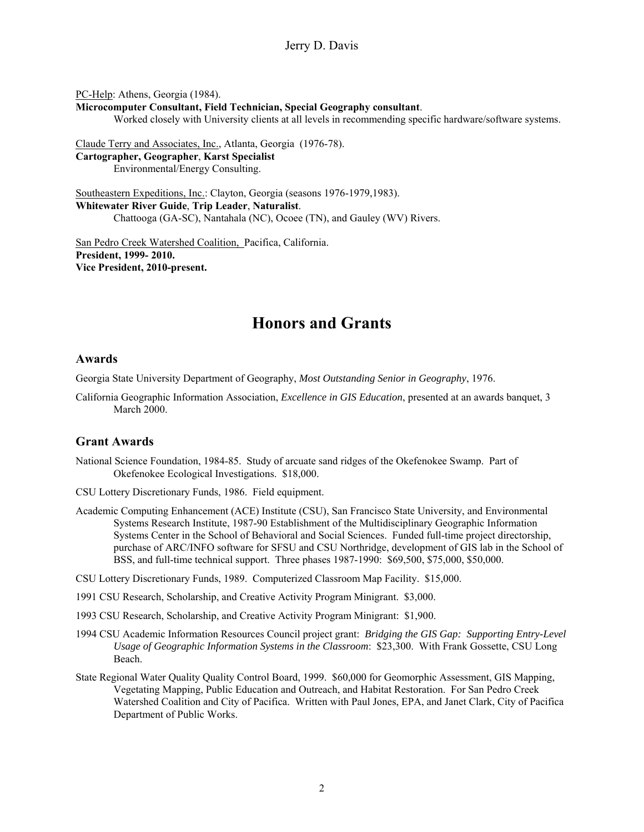PC-Help: Athens, Georgia (1984).

**Microcomputer Consultant, Field Technician, Special Geography consultant**.

Worked closely with University clients at all levels in recommending specific hardware/software systems.

Claude Terry and Associates, Inc., Atlanta, Georgia (1976-78). **Cartographer, Geographer**, **Karst Specialist** Environmental/Energy Consulting.

Southeastern Expeditions, Inc.: Clayton, Georgia (seasons 1976-1979,1983). **Whitewater River Guide**, **Trip Leader**, **Naturalist**. Chattooga (GA-SC), Nantahala (NC), Ocoee (TN), and Gauley (WV) Rivers.

San Pedro Creek Watershed Coalition, Pacifica, California. **President, 1999- 2010. Vice President, 2010-present.** 

# **Honors and Grants**

#### **Awards**

Georgia State University Department of Geography, *Most Outstanding Senior in Geography*, 1976.

California Geographic Information Association, *Excellence in GIS Education*, presented at an awards banquet, 3 March 2000.

## **Grant Awards**

- National Science Foundation, 1984-85. Study of arcuate sand ridges of the Okefenokee Swamp. Part of Okefenokee Ecological Investigations. \$18,000.
- CSU Lottery Discretionary Funds, 1986. Field equipment.
- Academic Computing Enhancement (ACE) Institute (CSU), San Francisco State University, and Environmental Systems Research Institute, 1987-90 Establishment of the Multidisciplinary Geographic Information Systems Center in the School of Behavioral and Social Sciences. Funded full-time project directorship, purchase of ARC/INFO software for SFSU and CSU Northridge, development of GIS lab in the School of BSS, and full-time technical support. Three phases 1987-1990: \$69,500, \$75,000, \$50,000.

CSU Lottery Discretionary Funds, 1989. Computerized Classroom Map Facility. \$15,000.

1991 CSU Research, Scholarship, and Creative Activity Program Minigrant. \$3,000.

1993 CSU Research, Scholarship, and Creative Activity Program Minigrant: \$1,900.

- 1994 CSU Academic Information Resources Council project grant: *Bridging the GIS Gap: Supporting Entry-Level Usage of Geographic Information Systems in the Classroom*: \$23,300. With Frank Gossette, CSU Long Beach.
- State Regional Water Quality Quality Control Board, 1999. \$60,000 for Geomorphic Assessment, GIS Mapping, Vegetating Mapping, Public Education and Outreach, and Habitat Restoration. For San Pedro Creek Watershed Coalition and City of Pacifica. Written with Paul Jones, EPA, and Janet Clark, City of Pacifica Department of Public Works.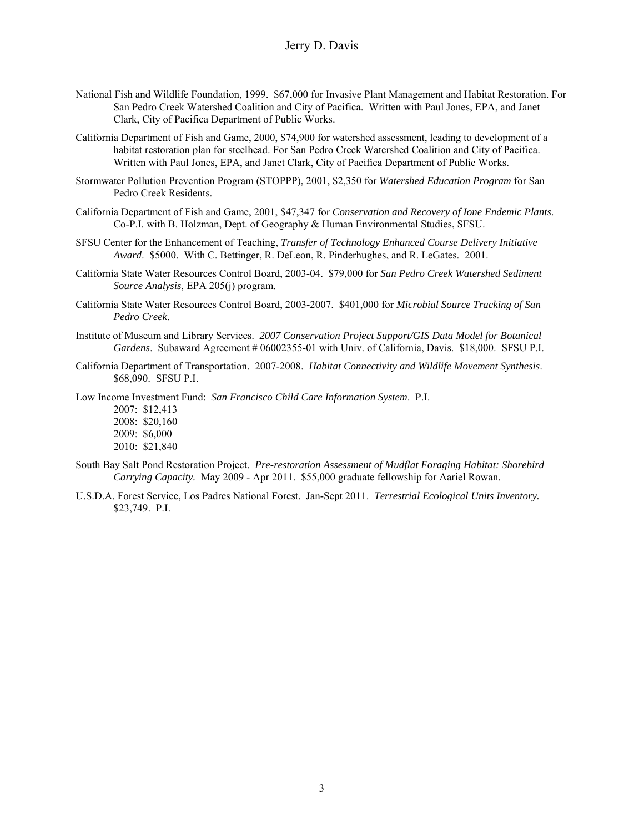- National Fish and Wildlife Foundation, 1999. \$67,000 for Invasive Plant Management and Habitat Restoration. For San Pedro Creek Watershed Coalition and City of Pacifica. Written with Paul Jones, EPA, and Janet Clark, City of Pacifica Department of Public Works.
- California Department of Fish and Game, 2000, \$74,900 for watershed assessment, leading to development of a habitat restoration plan for steelhead. For San Pedro Creek Watershed Coalition and City of Pacifica. Written with Paul Jones, EPA, and Janet Clark, City of Pacifica Department of Public Works.
- Stormwater Pollution Prevention Program (STOPPP), 2001, \$2,350 for *Watershed Education Program* for San Pedro Creek Residents.
- California Department of Fish and Game, 2001, \$47,347 for *Conservation and Recovery of Ione Endemic Plants*. Co-P.I. with B. Holzman, Dept. of Geography & Human Environmental Studies, SFSU.
- SFSU Center for the Enhancement of Teaching, *Transfer of Technology Enhanced Course Delivery Initiative Award*. \$5000. With C. Bettinger, R. DeLeon, R. Pinderhughes, and R. LeGates. 2001.
- California State Water Resources Control Board, 2003-04. \$79,000 for *San Pedro Creek Watershed Sediment Source Analysis*, EPA 205(j) program.
- California State Water Resources Control Board, 2003-2007. \$401,000 for *Microbial Source Tracking of San Pedro Creek*.
- Institute of Museum and Library Services. *2007 Conservation Project Support/GIS Data Model for Botanical Gardens*. Subaward Agreement # 06002355-01 with Univ. of California, Davis. \$18,000. SFSU P.I.
- California Department of Transportation. 2007-2008. *Habitat Connectivity and Wildlife Movement Synthesis*. \$68,090. SFSU P.I.

Low Income Investment Fund: *San Francisco Child Care Information System*. P.I.

2007: \$12,413 2008: \$20,160

- 2009: \$6,000
- 2010: \$21,840
- South Bay Salt Pond Restoration Project. *Pre-restoration Assessment of Mudflat Foraging Habitat: Shorebird Carrying Capacity.* May 2009 - Apr 2011. \$55,000 graduate fellowship for Aariel Rowan.
- U.S.D.A. Forest Service, Los Padres National Forest. Jan-Sept 2011. *Terrestrial Ecological Units Inventory.*  \$23,749. P.I.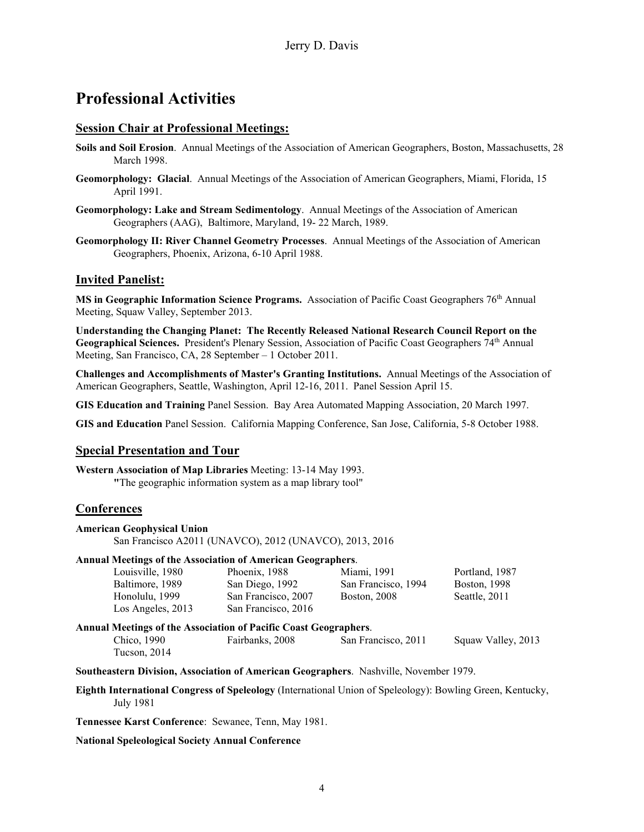# **Professional Activities**

## **Session Chair at Professional Meetings:**

- **Soils and Soil Erosion**. Annual Meetings of the Association of American Geographers, Boston, Massachusetts, 28 March 1998.
- **Geomorphology: Glacial**. Annual Meetings of the Association of American Geographers, Miami, Florida, 15 April 1991.
- **Geomorphology: Lake and Stream Sedimentology**. Annual Meetings of the Association of American Geographers (AAG), Baltimore, Maryland, 19- 22 March, 1989.
- **Geomorphology II: River Channel Geometry Processes**. Annual Meetings of the Association of American Geographers, Phoenix, Arizona, 6-10 April 1988.

## **Invited Panelist:**

**MS in Geographic Information Science Programs.** Association of Pacific Coast Geographers 76<sup>th</sup> Annual Meeting, Squaw Valley, September 2013.

**Understanding the Changing Planet: The Recently Released National Research Council Report on the**  Geographical Sciences. President's Plenary Session, Association of Pacific Coast Geographers 74<sup>th</sup> Annual Meeting, San Francisco, CA, 28 September – 1 October 2011.

**Challenges and Accomplishments of Master's Granting Institutions.** Annual Meetings of the Association of American Geographers, Seattle, Washington, April 12-16, 2011. Panel Session April 15.

**GIS Education and Training** Panel Session. Bay Area Automated Mapping Association, 20 March 1997.

**GIS and Education** Panel Session. California Mapping Conference, San Jose, California, 5-8 October 1988.

## **Special Presentation and Tour**

**Western Association of Map Libraries** Meeting: 13-14 May 1993. **"**The geographic information system as a map library tool"

## **Conferences**

| <b>American Geophysical Union</b>                                  |                                                         |                     |                     |
|--------------------------------------------------------------------|---------------------------------------------------------|---------------------|---------------------|
|                                                                    | San Francisco A2011 (UNAVCO), 2012 (UNAVCO), 2013, 2016 |                     |                     |
| <b>Annual Meetings of the Association of American Geographers.</b> |                                                         |                     |                     |
| Louisville, 1980                                                   | Phoenix, 1988                                           | Miami, 1991         | Portland, 1987      |
| Baltimore, 1989                                                    | San Diego, 1992                                         | San Francisco, 1994 | <b>Boston, 1998</b> |
| Honolulu, 1999                                                     | San Francisco, 2007                                     | <b>Boston, 2008</b> | Seattle, 2011       |
| Los Angeles, 2013                                                  | San Francisco, 2016                                     |                     |                     |
| Annual Meetings of the Association of Pacific Coast Geographers.   |                                                         |                     |                     |
| Chico, 1990<br>Tucson, 2014                                        | Fairbanks, 2008                                         | San Francisco, 2011 | Squaw Valley, 2013  |

**Southeastern Division, Association of American Geographers**. Nashville, November 1979.

**Eighth International Congress of Speleology** (International Union of Speleology): Bowling Green, Kentucky, July 1981

**Tennessee Karst Conference**: Sewanee, Tenn, May 1981.

#### **National Speleological Society Annual Conference**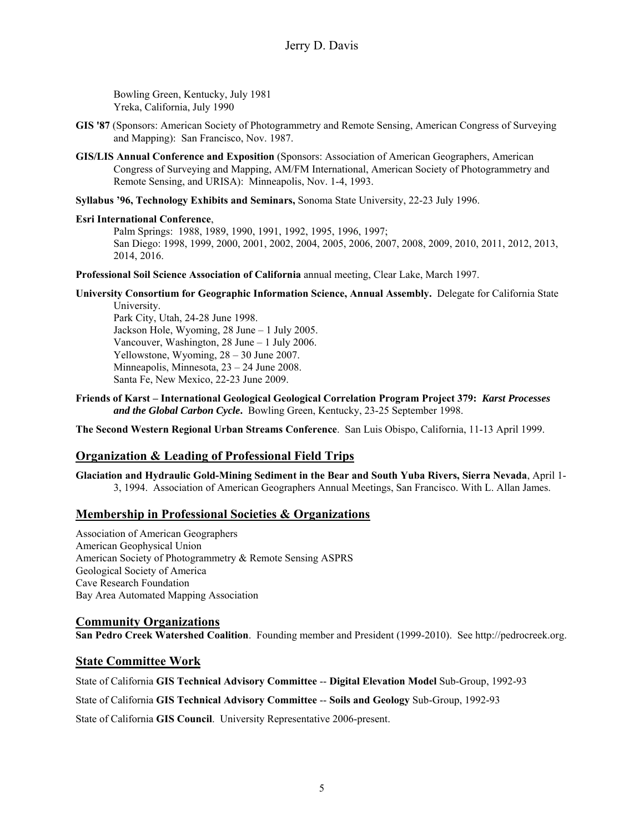Bowling Green, Kentucky, July 1981 Yreka, California, July 1990

- **GIS '87** (Sponsors: American Society of Photogrammetry and Remote Sensing, American Congress of Surveying and Mapping): San Francisco, Nov. 1987.
- **GIS/LIS Annual Conference and Exposition** (Sponsors: Association of American Geographers, American Congress of Surveying and Mapping, AM/FM International, American Society of Photogrammetry and Remote Sensing, and URISA): Minneapolis, Nov. 1-4, 1993.

**Syllabus '96, Technology Exhibits and Seminars,** Sonoma State University, 22-23 July 1996.

#### **Esri International Conference**,

Palm Springs: 1988, 1989, 1990, 1991, 1992, 1995, 1996, 1997; San Diego: 1998, 1999, 2000, 2001, 2002, 2004, 2005, 2006, 2007, 2008, 2009, 2010, 2011, 2012, 2013, 2014, 2016.

**Professional Soil Science Association of California** annual meeting, Clear Lake, March 1997.

**University Consortium for Geographic Information Science, Annual Assembly.** Delegate for California State University.

Park City, Utah, 24-28 June 1998. Jackson Hole, Wyoming, 28 June – 1 July 2005. Vancouver, Washington, 28 June – 1 July 2006. Yellowstone, Wyoming, 28 – 30 June 2007. Minneapolis, Minnesota, 23 – 24 June 2008. Santa Fe, New Mexico, 22-23 June 2009.

**Friends of Karst – International Geological Geological Correlation Program Project 379:** *Karst Processes and the Global Carbon Cycle***.** Bowling Green, Kentucky, 23-25 September 1998.

**The Second Western Regional Urban Streams Conference**. San Luis Obispo, California, 11-13 April 1999.

# **Organization & Leading of Professional Field Trips**

**Glaciation and Hydraulic Gold-Mining Sediment in the Bear and South Yuba Rivers, Sierra Nevada**, April 1- 3, 1994. Association of American Geographers Annual Meetings, San Francisco. With L. Allan James.

## **Membership in Professional Societies & Organizations**

Association of American Geographers American Geophysical Union American Society of Photogrammetry & Remote Sensing ASPRS Geological Society of America Cave Research Foundation Bay Area Automated Mapping Association

## **Community Organizations**

**San Pedro Creek Watershed Coalition**. Founding member and President (1999-2010). See http://pedrocreek.org.

## **State Committee Work**

State of California **GIS Technical Advisory Committee** -- **Digital Elevation Model** Sub-Group, 1992-93

State of California **GIS Technical Advisory Committee** -- **Soils and Geology** Sub-Group, 1992-93

State of California **GIS Council**. University Representative 2006-present.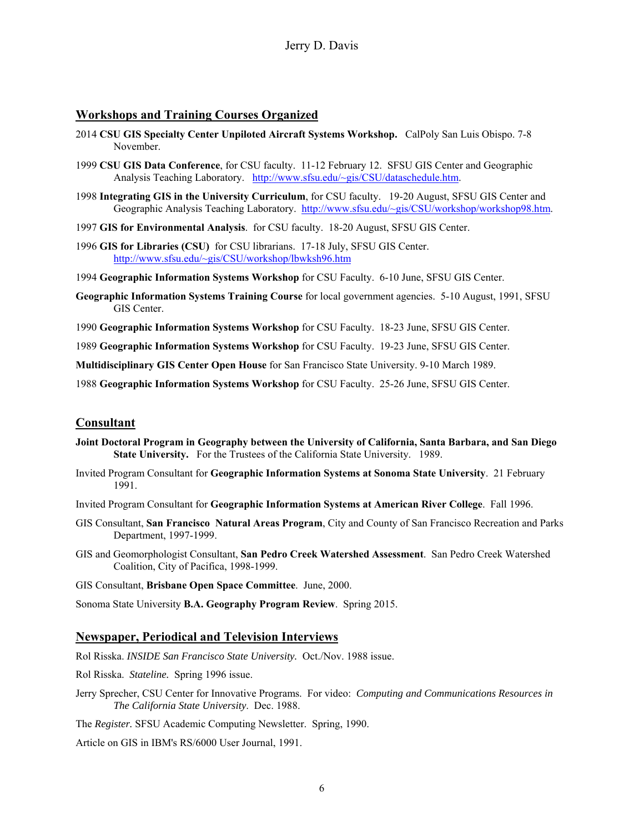## **Workshops and Training Courses Organized**

- 2014 **CSU GIS Specialty Center Unpiloted Aircraft Systems Workshop.** CalPoly San Luis Obispo. 7-8 November.
- 1999 **CSU GIS Data Conference**, for CSU faculty. 11-12 February 12. SFSU GIS Center and Geographic Analysis Teaching Laboratory. http://www.sfsu.edu/~gis/CSU/dataschedule.htm.
- 1998 **Integrating GIS in the University Curriculum**, for CSU faculty. 19-20 August, SFSU GIS Center and Geographic Analysis Teaching Laboratory. http://www.sfsu.edu/~gis/CSU/workshop/workshop98.htm.
- 1997 **GIS for Environmental Analysis**. for CSU faculty. 18-20 August, SFSU GIS Center.
- 1996 **GIS for Libraries (CSU)** for CSU librarians. 17-18 July, SFSU GIS Center. http://www.sfsu.edu/~gis/CSU/workshop/lbwksh96.htm
- 1994 **Geographic Information Systems Workshop** for CSU Faculty. 6-10 June, SFSU GIS Center.
- **Geographic Information Systems Training Course** for local government agencies. 5-10 August, 1991, SFSU GIS Center.
- 1990 **Geographic Information Systems Workshop** for CSU Faculty. 18-23 June, SFSU GIS Center.

1989 **Geographic Information Systems Workshop** for CSU Faculty. 19-23 June, SFSU GIS Center.

**Multidisciplinary GIS Center Open House** for San Francisco State University. 9-10 March 1989.

1988 **Geographic Information Systems Workshop** for CSU Faculty. 25-26 June, SFSU GIS Center.

## **Consultant**

- **Joint Doctoral Program in Geography between the University of California, Santa Barbara, and San Diego State University.** For the Trustees of the California State University. 1989.
- Invited Program Consultant for **Geographic Information Systems at Sonoma State University**. 21 February 1991.
- Invited Program Consultant for **Geographic Information Systems at American River College**. Fall 1996.
- GIS Consultant, **San Francisco Natural Areas Program**, City and County of San Francisco Recreation and Parks Department, 1997-1999.
- GIS and Geomorphologist Consultant, **San Pedro Creek Watershed Assessment**. San Pedro Creek Watershed Coalition, City of Pacifica, 1998-1999.

GIS Consultant, **Brisbane Open Space Committee**. June, 2000.

Sonoma State University **B.A. Geography Program Review**. Spring 2015.

#### **Newspaper, Periodical and Television Interviews**

Rol Risska. *INSIDE San Francisco State University.* Oct./Nov. 1988 issue.

Rol Risska. *Stateline.* Spring 1996 issue.

Jerry Sprecher, CSU Center for Innovative Programs. For video: *Computing and Communications Resources in The California State University*. Dec. 1988.

The *Register.* SFSU Academic Computing Newsletter. Spring, 1990.

Article on GIS in IBM's RS/6000 User Journal, 1991.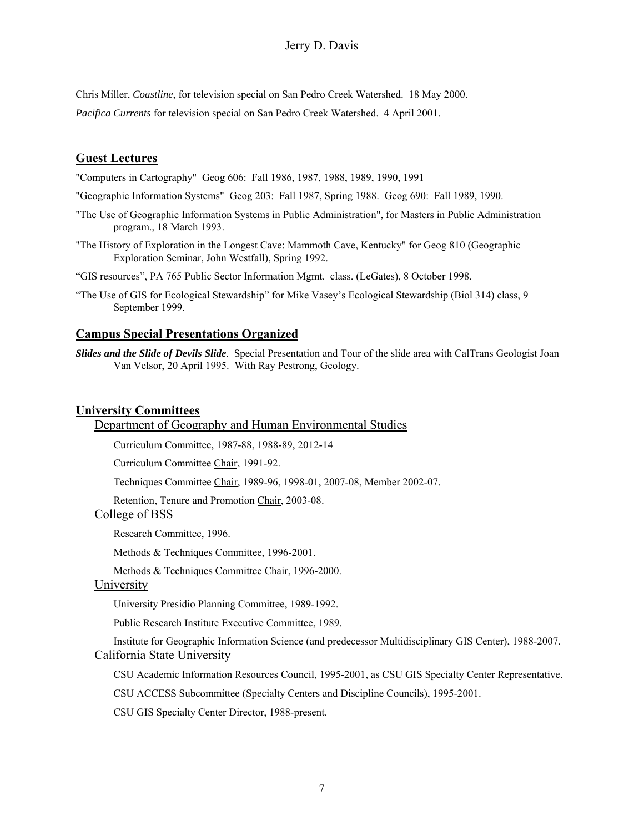## Jerry D. Davis

Chris Miller, *Coastline*, for television special on San Pedro Creek Watershed. 18 May 2000. *Pacifica Currents* for television special on San Pedro Creek Watershed. 4 April 2001.

## **Guest Lectures**

"Computers in Cartography" Geog 606: Fall 1986, 1987, 1988, 1989, 1990, 1991

- "Geographic Information Systems" Geog 203: Fall 1987, Spring 1988. Geog 690: Fall 1989, 1990.
- "The Use of Geographic Information Systems in Public Administration", for Masters in Public Administration program., 18 March 1993.
- "The History of Exploration in the Longest Cave: Mammoth Cave, Kentucky" for Geog 810 (Geographic Exploration Seminar, John Westfall), Spring 1992.
- "GIS resources", PA 765 Public Sector Information Mgmt. class. (LeGates), 8 October 1998.
- "The Use of GIS for Ecological Stewardship" for Mike Vasey's Ecological Stewardship (Biol 314) class, 9 September 1999.

#### **Campus Special Presentations Organized**

*Slides and the Slide of Devils Slide.* Special Presentation and Tour of the slide area with CalTrans Geologist Joan Van Velsor, 20 April 1995. With Ray Pestrong, Geology.

#### **University Committees**

Department of Geography and Human Environmental Studies

Curriculum Committee, 1987-88, 1988-89, 2012-14

Curriculum Committee Chair, 1991-92.

Techniques Committee Chair, 1989-96, 1998-01, 2007-08, Member 2002-07.

Retention, Tenure and Promotion Chair, 2003-08.

## College of BSS

Research Committee, 1996.

Methods & Techniques Committee, 1996-2001.

Methods & Techniques Committee Chair, 1996-2000.

## University

University Presidio Planning Committee, 1989-1992.

Public Research Institute Executive Committee, 1989.

Institute for Geographic Information Science (and predecessor Multidisciplinary GIS Center), 1988-2007. California State University

CSU Academic Information Resources Council, 1995-2001, as CSU GIS Specialty Center Representative.

CSU ACCESS Subcommittee (Specialty Centers and Discipline Councils), 1995-2001.

CSU GIS Specialty Center Director, 1988-present.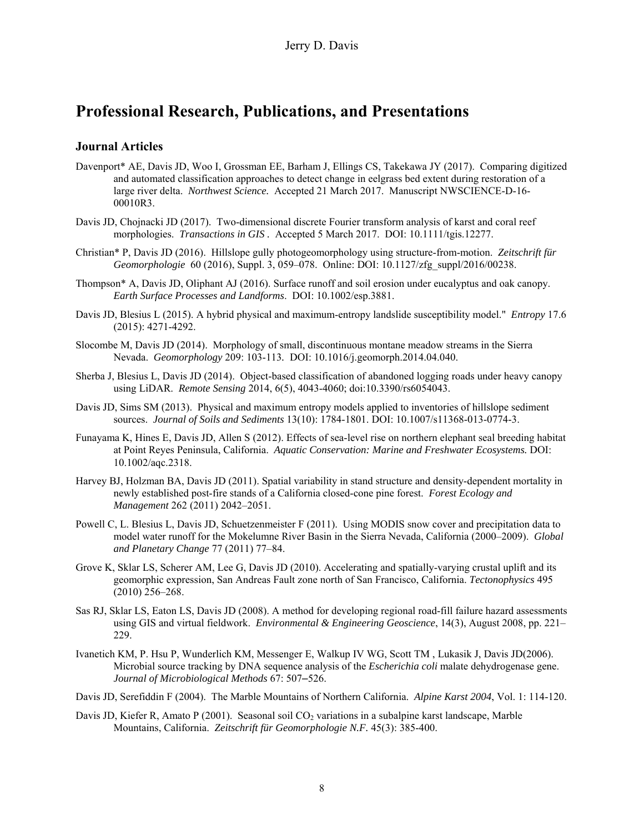# **Professional Research, Publications, and Presentations**

#### **Journal Articles**

- Davenport\* AE, Davis JD, Woo I, Grossman EE, Barham J, Ellings CS, Takekawa JY (2017). Comparing digitized and automated classification approaches to detect change in eelgrass bed extent during restoration of a large river delta. *Northwest Science.* Accepted 21 March 2017. Manuscript NWSCIENCE-D-16- 00010R3.
- Davis JD, Chojnacki JD (2017). Two-dimensional discrete Fourier transform analysis of karst and coral reef morphologies. *Transactions in GIS .* Accepted 5 March 2017. DOI: 10.1111/tgis.12277.
- Christian\* P, Davis JD (2016). Hillslope gully photogeomorphology using structure-from-motion. *Zeitschrift für Geomorphologie* 60 (2016), Suppl. 3, 059–078. Online: DOI: 10.1127/zfg\_suppl/2016/00238.
- Thompson\* A, Davis JD, Oliphant AJ (2016). Surface runoff and soil erosion under eucalyptus and oak canopy. *Earth Surface Processes and Landforms*. DOI: 10.1002/esp.3881.
- Davis JD, Blesius L (2015). A hybrid physical and maximum-entropy landslide susceptibility model." *Entropy* 17.6 (2015): 4271-4292.
- Slocombe M, Davis JD (2014). Morphology of small, discontinuous montane meadow streams in the Sierra Nevada. *Geomorphology* 209: 103-113*.* DOI: 10.1016/j.geomorph.2014.04.040.
- Sherba J, Blesius L, Davis JD (2014). Object-based classification of abandoned logging roads under heavy canopy using LiDAR. *Remote Sensing* 2014, 6(5), 4043-4060; doi:10.3390/rs6054043.
- Davis JD, Sims SM (2013). Physical and maximum entropy models applied to inventories of hillslope sediment sources. *Journal of Soils and Sediments* 13(10): 1784-1801. DOI: 10.1007/s11368-013-0774-3.
- Funayama K, Hines E, Davis JD, Allen S (2012). Effects of sea-level rise on northern elephant seal breeding habitat at Point Reyes Peninsula, California. *Aquatic Conservation: Marine and Freshwater Ecosystems.* DOI: 10.1002/aqc.2318.
- Harvey BJ, Holzman BA, Davis JD (2011). Spatial variability in stand structure and density-dependent mortality in newly established post-fire stands of a California closed-cone pine forest. *Forest Ecology and Management* 262 (2011) 2042–2051.
- Powell C, L. Blesius L, Davis JD, Schuetzenmeister F (2011). Using MODIS snow cover and precipitation data to model water runoff for the Mokelumne River Basin in the Sierra Nevada, California (2000–2009). *Global and Planetary Change* 77 (2011) 77–84.
- Grove K, Sklar LS, Scherer AM, Lee G, Davis JD (2010). Accelerating and spatially-varying crustal uplift and its geomorphic expression, San Andreas Fault zone north of San Francisco, California. *Tectonophysics* 495 (2010) 256–268.
- Sas RJ, Sklar LS, Eaton LS, Davis JD (2008). A method for developing regional road-fill failure hazard assessments using GIS and virtual fieldwork. *Environmental & Engineering Geoscience*, 14(3), August 2008, pp. 221– 229.
- Ivanetich KM, P. Hsu P, Wunderlich KM, Messenger E, Walkup IV WG, Scott TM , Lukasik J, Davis JD(2006). Microbial source tracking by DNA sequence analysis of the *Escherichia coli* malate dehydrogenase gene. *Journal of Microbiological Methods* 67: 507–526.
- Davis JD, Serefiddin F (2004). The Marble Mountains of Northern California. *Alpine Karst 2004*, Vol. 1: 114-120.
- Davis JD, Kiefer R, Amato P (2001). Seasonal soil CO<sub>2</sub> variations in a subalpine karst landscape, Marble Mountains, California. *Zeitschrift für Geomorphologie N.F.* 45(3): 385-400.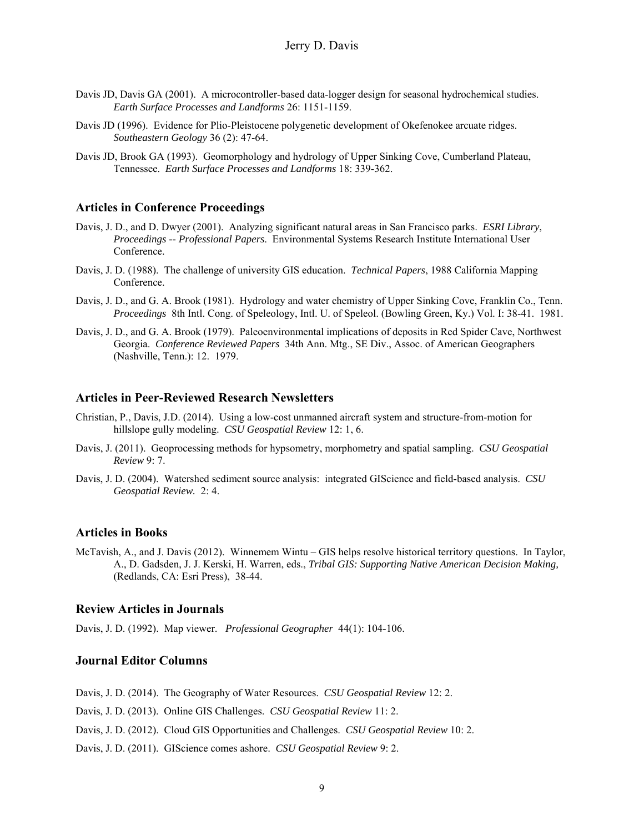- Davis JD, Davis GA (2001). A microcontroller-based data-logger design for seasonal hydrochemical studies. *Earth Surface Processes and Landforms* 26: 1151-1159.
- Davis JD (1996). Evidence for Plio-Pleistocene polygenetic development of Okefenokee arcuate ridges. *Southeastern Geology* 36 (2): 47-64.
- Davis JD, Brook GA (1993). Geomorphology and hydrology of Upper Sinking Cove, Cumberland Plateau, Tennessee. *Earth Surface Processes and Landforms* 18: 339-362.

#### **Articles in Conference Proceedings**

- Davis, J. D., and D. Dwyer (2001). Analyzing significant natural areas in San Francisco parks. *ESRI Library*, *Proceedings -- Professional Papers*. Environmental Systems Research Institute International User Conference.
- Davis, J. D. (1988). The challenge of university GIS education. *Technical Papers*, 1988 California Mapping Conference.
- Davis, J. D., and G. A. Brook (1981). Hydrology and water chemistry of Upper Sinking Cove, Franklin Co., Tenn. *Proceedings* 8th Intl. Cong. of Speleology, Intl. U. of Speleol. (Bowling Green, Ky.) Vol. I: 38-41. 1981.
- Davis, J. D., and G. A. Brook (1979). Paleoenvironmental implications of deposits in Red Spider Cave, Northwest Georgia. *Conference Reviewed Papers* 34th Ann. Mtg., SE Div., Assoc. of American Geographers (Nashville, Tenn.): 12. 1979.

#### **Articles in Peer-Reviewed Research Newsletters**

- Christian, P., Davis, J.D. (2014). Using a low-cost unmanned aircraft system and structure-from-motion for hillslope gully modeling. *CSU Geospatial Review* 12: 1, 6.
- Davis, J. (2011). Geoprocessing methods for hypsometry, morphometry and spatial sampling. *CSU Geospatial Review* 9: 7.
- Davis, J. D. (2004). Watershed sediment source analysis: integrated GIScience and field-based analysis. *CSU Geospatial Review.* 2: 4.

#### **Articles in Books**

McTavish, A., and J. Davis (2012). Winnemem Wintu – GIS helps resolve historical territory questions. In Taylor, A., D. Gadsden, J. J. Kerski, H. Warren, eds., *Tribal GIS: Supporting Native American Decision Making,*  (Redlands, CA: Esri Press), 38-44.

#### **Review Articles in Journals**

Davis, J. D. (1992). Map viewer. *Professional Geographer* 44(1): 104-106.

### **Journal Editor Columns**

Davis, J. D. (2014). The Geography of Water Resources. *CSU Geospatial Review* 12: 2.

- Davis, J. D. (2013). Online GIS Challenges. *CSU Geospatial Review* 11: 2.
- Davis, J. D. (2012). Cloud GIS Opportunities and Challenges. *CSU Geospatial Review* 10: 2.

Davis, J. D. (2011). GIScience comes ashore. *CSU Geospatial Review* 9: 2.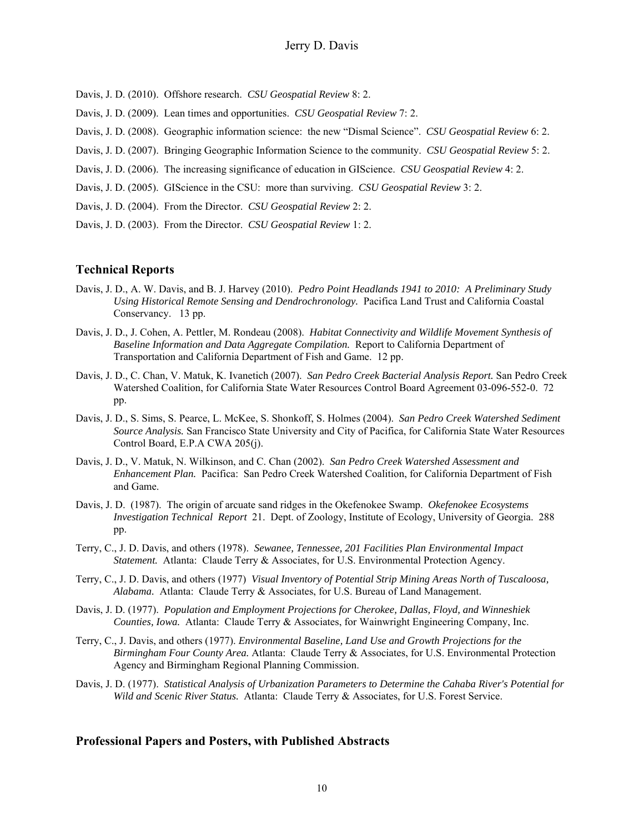- Davis, J. D. (2010). Offshore research. *CSU Geospatial Review* 8: 2.
- Davis, J. D. (2009). Lean times and opportunities. *CSU Geospatial Review* 7: 2.
- Davis, J. D. (2008). Geographic information science: the new "Dismal Science". *CSU Geospatial Review* 6: 2.
- Davis, J. D. (2007). Bringing Geographic Information Science to the community. *CSU Geospatial Review* 5: 2.
- Davis, J. D. (2006). The increasing significance of education in GIScience. *CSU Geospatial Review* 4: 2.
- Davis, J. D. (2005). GIScience in the CSU: more than surviving. *CSU Geospatial Review* 3: 2.
- Davis, J. D. (2004). From the Director. *CSU Geospatial Review* 2: 2.
- Davis, J. D. (2003). From the Director. *CSU Geospatial Review* 1: 2.

#### **Technical Reports**

- Davis, J. D., A. W. Davis, and B. J. Harvey (2010). *Pedro Point Headlands 1941 to 2010: A Preliminary Study Using Historical Remote Sensing and Dendrochronology.* Pacifica Land Trust and California Coastal Conservancy. 13 pp.
- Davis, J. D., J. Cohen, A. Pettler, M. Rondeau (2008). *Habitat Connectivity and Wildlife Movement Synthesis of Baseline Information and Data Aggregate Compilation.* Report to California Department of Transportation and California Department of Fish and Game. 12 pp.
- Davis, J. D., C. Chan, V. Matuk, K. Ivanetich (2007). *San Pedro Creek Bacterial Analysis Report.* San Pedro Creek Watershed Coalition, for California State Water Resources Control Board Agreement 03-096-552-0. 72 pp.
- Davis, J. D., S. Sims, S. Pearce, L. McKee, S. Shonkoff, S. Holmes (2004). *San Pedro Creek Watershed Sediment Source Analysis.* San Francisco State University and City of Pacifica, for California State Water Resources Control Board, E.P.A CWA 205(j).
- Davis, J. D., V. Matuk, N. Wilkinson, and C. Chan (2002). *San Pedro Creek Watershed Assessment and Enhancement Plan.* Pacifica: San Pedro Creek Watershed Coalition, for California Department of Fish and Game.
- Davis, J. D. (1987). The origin of arcuate sand ridges in the Okefenokee Swamp. *Okefenokee Ecosystems Investigation Technical Report* 21. Dept. of Zoology, Institute of Ecology, University of Georgia. 288 pp.
- Terry, C., J. D. Davis, and others (1978). *Sewanee, Tennessee, 201 Facilities Plan Environmental Impact Statement.* Atlanta: Claude Terry & Associates, for U.S. Environmental Protection Agency.
- Terry, C., J. D. Davis, and others (1977) *Visual Inventory of Potential Strip Mining Areas North of Tuscaloosa, Alabama.* Atlanta: Claude Terry & Associates, for U.S. Bureau of Land Management.
- Davis, J. D. (1977). *Population and Employment Projections for Cherokee, Dallas, Floyd, and Winneshiek Counties, Iowa.* Atlanta: Claude Terry & Associates, for Wainwright Engineering Company, Inc.
- Terry, C., J. Davis, and others (1977). *Environmental Baseline, Land Use and Growth Projections for the Birmingham Four County Area.* Atlanta: Claude Terry & Associates, for U.S. Environmental Protection Agency and Birmingham Regional Planning Commission.
- Davis, J. D. (1977). *Statistical Analysis of Urbanization Parameters to Determine the Cahaba River's Potential for Wild and Scenic River Status.* Atlanta: Claude Terry & Associates, for U.S. Forest Service.

#### **Professional Papers and Posters, with Published Abstracts**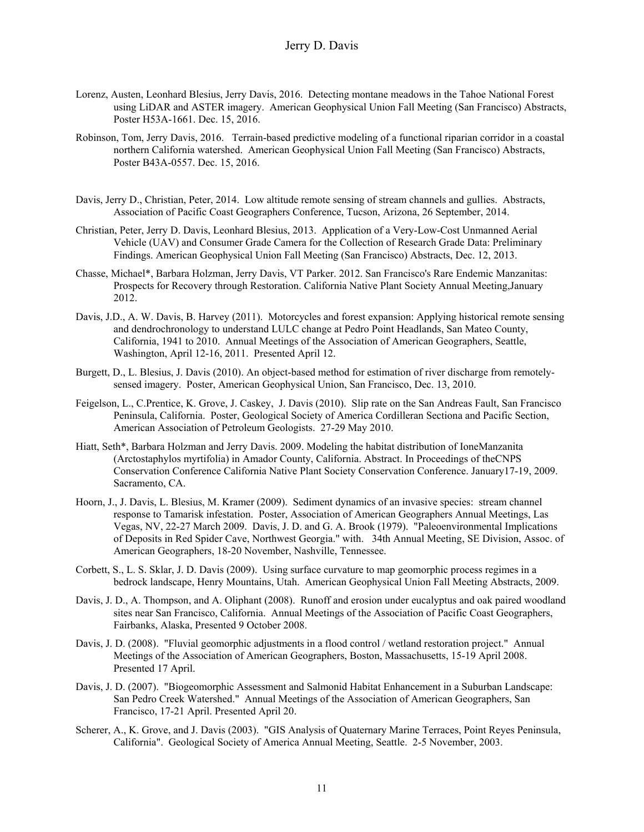- Lorenz, Austen, Leonhard Blesius, Jerry Davis, 2016. Detecting montane meadows in the Tahoe National Forest using LiDAR and ASTER imagery. American Geophysical Union Fall Meeting (San Francisco) Abstracts, Poster H53A-1661. Dec. 15, 2016.
- Robinson, Tom, Jerry Davis, 2016. Terrain-based predictive modeling of a functional riparian corridor in a coastal northern California watershed. American Geophysical Union Fall Meeting (San Francisco) Abstracts, Poster B43A-0557. Dec. 15, 2016.
- Davis, Jerry D., Christian, Peter, 2014. Low altitude remote sensing of stream channels and gullies. Abstracts, Association of Pacific Coast Geographers Conference, Tucson, Arizona, 26 September, 2014.
- Christian, Peter, Jerry D. Davis, Leonhard Blesius, 2013. Application of a Very-Low-Cost Unmanned Aerial Vehicle (UAV) and Consumer Grade Camera for the Collection of Research Grade Data: Preliminary Findings. American Geophysical Union Fall Meeting (San Francisco) Abstracts, Dec. 12, 2013.
- Chasse, Michael\*, Barbara Holzman, Jerry Davis, VT Parker. 2012. San Francisco's Rare Endemic Manzanitas: Prospects for Recovery through Restoration. California Native Plant Society Annual Meeting,January 2012.
- Davis, J.D., A. W. Davis, B. Harvey (2011). Motorcycles and forest expansion: Applying historical remote sensing and dendrochronology to understand LULC change at Pedro Point Headlands, San Mateo County, California, 1941 to 2010. Annual Meetings of the Association of American Geographers, Seattle, Washington, April 12-16, 2011. Presented April 12.
- Burgett, D., L. Blesius, J. Davis (2010). An object-based method for estimation of river discharge from remotelysensed imagery. Poster, American Geophysical Union, San Francisco, Dec. 13, 2010.
- Feigelson, L., C.Prentice, K. Grove, J. Caskey, J. Davis (2010). Slip rate on the San Andreas Fault, San Francisco Peninsula, California. Poster, Geological Society of America Cordilleran Sectiona and Pacific Section, American Association of Petroleum Geologists. 27-29 May 2010.
- Hiatt, Seth\*, Barbara Holzman and Jerry Davis. 2009. Modeling the habitat distribution of IoneManzanita (Arctostaphylos myrtifolia) in Amador County, California. Abstract. In Proceedings of theCNPS Conservation Conference California Native Plant Society Conservation Conference. January17-19, 2009. Sacramento, CA.
- Hoorn, J., J. Davis, L. Blesius, M. Kramer (2009). Sediment dynamics of an invasive species: stream channel response to Tamarisk infestation. Poster, Association of American Geographers Annual Meetings, Las Vegas, NV, 22-27 March 2009. Davis, J. D. and G. A. Brook (1979). "Paleoenvironmental Implications of Deposits in Red Spider Cave, Northwest Georgia." with. 34th Annual Meeting, SE Division, Assoc. of American Geographers, 18-20 November, Nashville, Tennessee.
- Corbett, S., L. S. Sklar, J. D. Davis (2009). Using surface curvature to map geomorphic process regimes in a bedrock landscape, Henry Mountains, Utah. American Geophysical Union Fall Meeting Abstracts, 2009.
- Davis, J. D., A. Thompson, and A. Oliphant (2008). Runoff and erosion under eucalyptus and oak paired woodland sites near San Francisco, California. Annual Meetings of the Association of Pacific Coast Geographers, Fairbanks, Alaska, Presented 9 October 2008.
- Davis, J. D. (2008). "Fluvial geomorphic adjustments in a flood control / wetland restoration project." Annual Meetings of the Association of American Geographers, Boston, Massachusetts, 15-19 April 2008. Presented 17 April.
- Davis, J. D. (2007). "Biogeomorphic Assessment and Salmonid Habitat Enhancement in a Suburban Landscape: San Pedro Creek Watershed." Annual Meetings of the Association of American Geographers, San Francisco, 17-21 April. Presented April 20.
- Scherer, A., K. Grove, and J. Davis (2003). "GIS Analysis of Quaternary Marine Terraces, Point Reyes Peninsula, California". Geological Society of America Annual Meeting, Seattle. 2-5 November, 2003.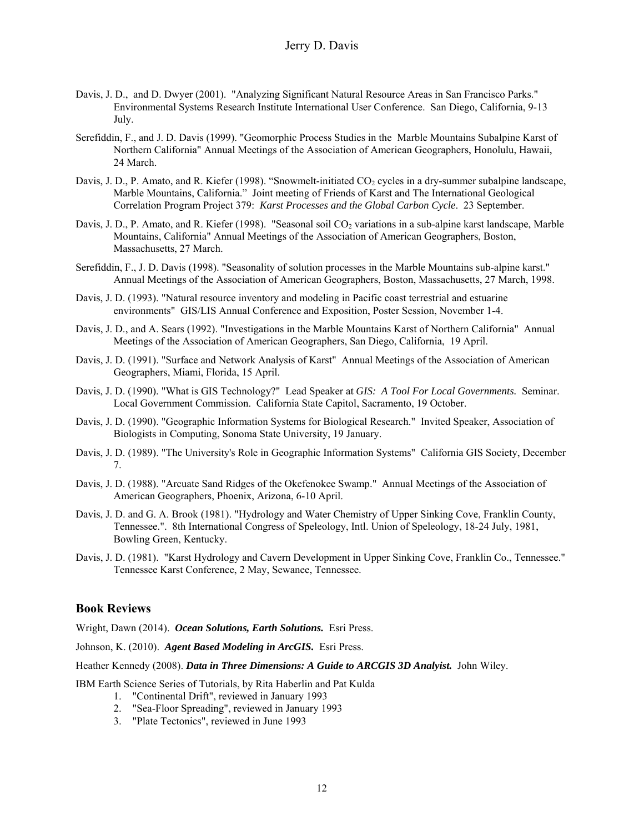- Davis, J. D., and D. Dwyer (2001). "Analyzing Significant Natural Resource Areas in San Francisco Parks." Environmental Systems Research Institute International User Conference. San Diego, California, 9-13 July.
- Serefiddin, F., and J. D. Davis (1999). "Geomorphic Process Studies in the Marble Mountains Subalpine Karst of Northern California" Annual Meetings of the Association of American Geographers, Honolulu, Hawaii, 24 March.
- Davis, J. D., P. Amato, and R. Kiefer (1998). "Snowmelt-initiated CO<sub>2</sub> cycles in a dry-summer subalpine landscape, Marble Mountains, California." Joint meeting of Friends of Karst and The International Geological Correlation Program Project 379: *Karst Processes and the Global Carbon Cycle*. 23 September.
- Davis, J. D., P. Amato, and R. Kiefer (1998). "Seasonal soil CO<sub>2</sub> variations in a sub-alpine karst landscape, Marble Mountains, California" Annual Meetings of the Association of American Geographers, Boston, Massachusetts, 27 March.
- Serefiddin, F., J. D. Davis (1998). "Seasonality of solution processes in the Marble Mountains sub-alpine karst." Annual Meetings of the Association of American Geographers, Boston, Massachusetts, 27 March, 1998.
- Davis, J. D. (1993). "Natural resource inventory and modeling in Pacific coast terrestrial and estuarine environments" GIS/LIS Annual Conference and Exposition, Poster Session, November 1-4.
- Davis, J. D., and A. Sears (1992). "Investigations in the Marble Mountains Karst of Northern California" Annual Meetings of the Association of American Geographers, San Diego, California, 19 April.
- Davis, J. D. (1991). "Surface and Network Analysis of Karst" Annual Meetings of the Association of American Geographers, Miami, Florida, 15 April.
- Davis, J. D. (1990). "What is GIS Technology?" Lead Speaker at *GIS: A Tool For Local Governments.* Seminar. Local Government Commission. California State Capitol, Sacramento, 19 October.
- Davis, J. D. (1990). "Geographic Information Systems for Biological Research." Invited Speaker, Association of Biologists in Computing, Sonoma State University, 19 January.
- Davis, J. D. (1989). "The University's Role in Geographic Information Systems" California GIS Society, December 7.
- Davis, J. D. (1988). "Arcuate Sand Ridges of the Okefenokee Swamp." Annual Meetings of the Association of American Geographers, Phoenix, Arizona, 6-10 April.
- Davis, J. D. and G. A. Brook (1981). "Hydrology and Water Chemistry of Upper Sinking Cove, Franklin County, Tennessee.". 8th International Congress of Speleology, Intl. Union of Speleology, 18-24 July, 1981, Bowling Green, Kentucky.
- Davis, J. D. (1981). "Karst Hydrology and Cavern Development in Upper Sinking Cove, Franklin Co., Tennessee." Tennessee Karst Conference, 2 May, Sewanee, Tennessee.

## **Book Reviews**

Wright, Dawn (2014). *Ocean Solutions, Earth Solutions.* Esri Press.

Johnson, K. (2010). *Agent Based Modeling in ArcGIS.* Esri Press.

Heather Kennedy (2008). *Data in Three Dimensions: A Guide to ARCGIS 3D Analyist.* John Wiley.

IBM Earth Science Series of Tutorials, by Rita Haberlin and Pat Kulda

- 1. "Continental Drift", reviewed in January 1993
- 2. "Sea-Floor Spreading", reviewed in January 1993
- 3. "Plate Tectonics", reviewed in June 1993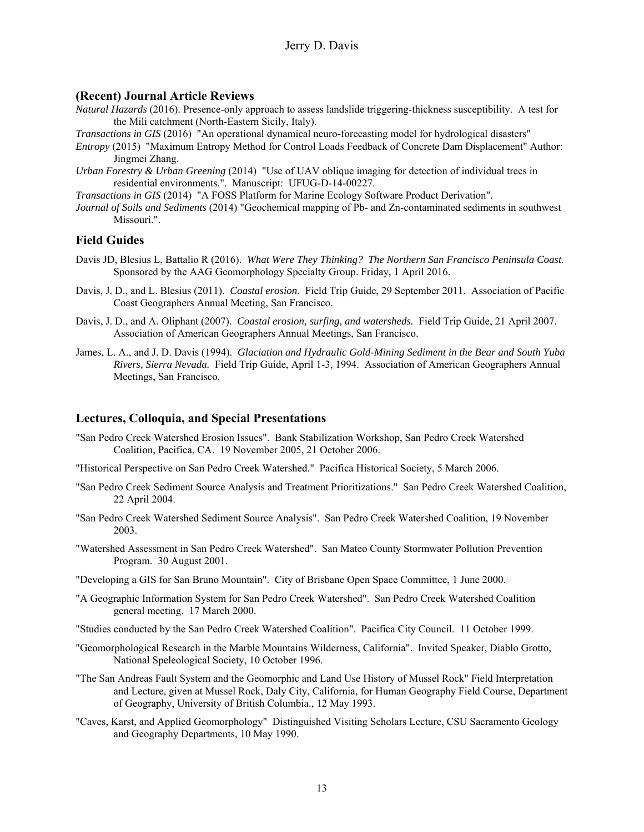### **(Recent) Journal Article Reviews**

- *Natural Hazards* (2016). Presence-only approach to assess landslide triggering-thickness susceptibility. A test for the Mili catchment (North-Eastern Sicily, Italy).
- *Transactions in GIS* (2016) "An operational dynamical neuro-forecasting model for hydrological disasters"
- *Entropy* (2015) "Maximum Entropy Method for Control Loads Feedback of Concrete Dam Displacement" Author: Jingmei Zhang.
- *Urban Forestry & Urban Greening* (2014) "Use of UAV oblique imaging for detection of individual trees in residential environments.". Manuscript: UFUG-D-14-00227.
- *Transactions in GIS* (2014) "A FOSS Platform for Marine Ecology Software Product Derivation".
- *Journal of Soils and Sediments* (2014) "Geochemical mapping of Pb- and Zn-contaminated sediments in southwest Missouri.".

## **Field Guides**

- Davis JD, Blesius L, Battalio R (2016). *What Were They Thinking? The Northern San Francisco Peninsula Coast.*  Sponsored by the AAG Geomorphology Specialty Group. Friday, 1 April 2016.
- Davis, J. D., and L. Blesius (2011). *Coastal erosion.* Field Trip Guide, 29 September 2011. Association of Pacific Coast Geographers Annual Meeting, San Francisco.
- Davis, J. D., and A. Oliphant (2007). *Coastal erosion, surfing, and watersheds.* Field Trip Guide, 21 April 2007. Association of American Geographers Annual Meetings, San Francisco.
- James, L. A., and J. D. Davis (1994). *Glaciation and Hydraulic Gold-Mining Sediment in the Bear and South Yuba Rivers, Sierra Nevada.* Field Trip Guide, April 1-3, 1994. Association of American Geographers Annual Meetings, San Francisco.

#### **Lectures, Colloquia, and Special Presentations**

- "San Pedro Creek Watershed Erosion Issues". Bank Stabilization Workshop, San Pedro Creek Watershed Coalition, Pacifica, CA. 19 November 2005, 21 October 2006.
- "Historical Perspective on San Pedro Creek Watershed." Pacifica Historical Society, 5 March 2006.
- "San Pedro Creek Sediment Source Analysis and Treatment Prioritizations." San Pedro Creek Watershed Coalition, 22 April 2004.
- "San Pedro Creek Watershed Sediment Source Analysis". San Pedro Creek Watershed Coalition, 19 November 2003.
- "Watershed Assessment in San Pedro Creek Watershed". San Mateo County Stormwater Pollution Prevention Program. 30 August 2001.
- "Developing a GIS for San Bruno Mountain". City of Brisbane Open Space Committee, 1 June 2000.
- "A Geographic Information System for San Pedro Creek Watershed". San Pedro Creek Watershed Coalition general meeting. 17 March 2000.
- "Studies conducted by the San Pedro Creek Watershed Coalition". Pacifica City Council. 11 October 1999.
- "Geomorphological Research in the Marble Mountains Wilderness, California". Invited Speaker, Diablo Grotto, National Speleological Society, 10 October 1996.
- "The San Andreas Fault System and the Geomorphic and Land Use History of Mussel Rock" Field Interpretation and Lecture, given at Mussel Rock, Daly City, California, for Human Geography Field Course, Department of Geography, University of British Columbia., 12 May 1993.
- "Caves, Karst, and Applied Geomorphology" Distinguished Visiting Scholars Lecture, CSU Sacramento Geology and Geography Departments, 10 May 1990.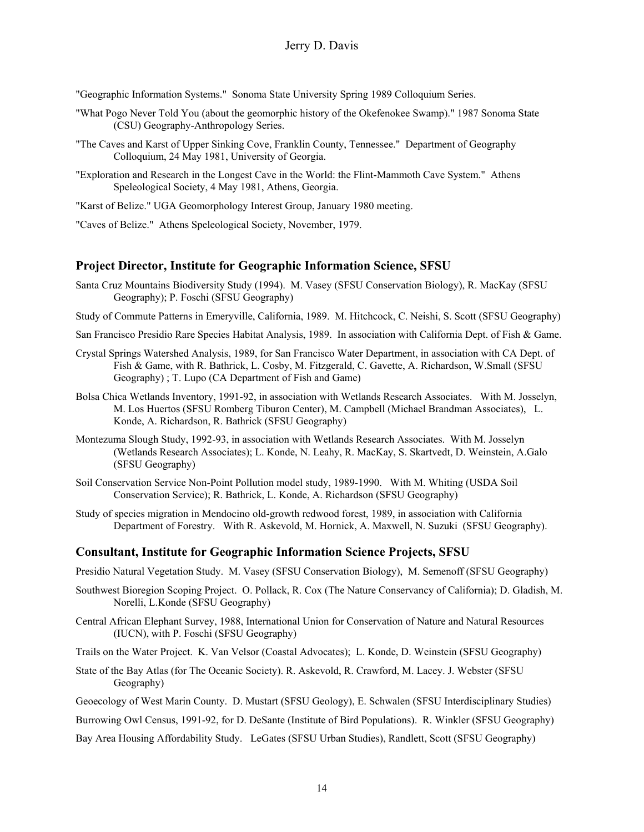"Geographic Information Systems." Sonoma State University Spring 1989 Colloquium Series.

- "What Pogo Never Told You (about the geomorphic history of the Okefenokee Swamp)." 1987 Sonoma State (CSU) Geography-Anthropology Series.
- "The Caves and Karst of Upper Sinking Cove, Franklin County, Tennessee." Department of Geography Colloquium, 24 May 1981, University of Georgia.
- "Exploration and Research in the Longest Cave in the World: the Flint-Mammoth Cave System." Athens Speleological Society, 4 May 1981, Athens, Georgia.

"Karst of Belize." UGA Geomorphology Interest Group, January 1980 meeting.

"Caves of Belize." Athens Speleological Society, November, 1979.

#### **Project Director, Institute for Geographic Information Science, SFSU**

- Santa Cruz Mountains Biodiversity Study (1994). M. Vasey (SFSU Conservation Biology), R. MacKay (SFSU Geography); P. Foschi (SFSU Geography)
- Study of Commute Patterns in Emeryville, California, 1989. M. Hitchcock, C. Neishi, S. Scott (SFSU Geography)
- San Francisco Presidio Rare Species Habitat Analysis, 1989. In association with California Dept. of Fish & Game.
- Crystal Springs Watershed Analysis, 1989, for San Francisco Water Department, in association with CA Dept. of Fish & Game, with R. Bathrick, L. Cosby, M. Fitzgerald, C. Gavette, A. Richardson, W.Small (SFSU Geography) ; T. Lupo (CA Department of Fish and Game)
- Bolsa Chica Wetlands Inventory, 1991-92, in association with Wetlands Research Associates. With M. Josselyn, M. Los Huertos (SFSU Romberg Tiburon Center), M. Campbell (Michael Brandman Associates), L. Konde, A. Richardson, R. Bathrick (SFSU Geography)
- Montezuma Slough Study, 1992-93, in association with Wetlands Research Associates. With M. Josselyn (Wetlands Research Associates); L. Konde, N. Leahy, R. MacKay, S. Skartvedt, D. Weinstein, A.Galo (SFSU Geography)
- Soil Conservation Service Non-Point Pollution model study, 1989-1990. With M. Whiting (USDA Soil Conservation Service); R. Bathrick, L. Konde, A. Richardson (SFSU Geography)
- Study of species migration in Mendocino old-growth redwood forest, 1989, in association with California Department of Forestry. With R. Askevold, M. Hornick, A. Maxwell, N. Suzuki (SFSU Geography).

#### **Consultant, Institute for Geographic Information Science Projects, SFSU**

Presidio Natural Vegetation Study. M. Vasey (SFSU Conservation Biology), M. Semenoff (SFSU Geography)

- Southwest Bioregion Scoping Project. O. Pollack, R. Cox (The Nature Conservancy of California); D. Gladish, M. Norelli, L.Konde (SFSU Geography)
- Central African Elephant Survey, 1988, International Union for Conservation of Nature and Natural Resources (IUCN), with P. Foschi (SFSU Geography)

Trails on the Water Project. K. Van Velsor (Coastal Advocates); L. Konde, D. Weinstein (SFSU Geography)

- State of the Bay Atlas (for The Oceanic Society). R. Askevold, R. Crawford, M. Lacey. J. Webster (SFSU Geography)
- Geoecology of West Marin County. D. Mustart (SFSU Geology), E. Schwalen (SFSU Interdisciplinary Studies)
- Burrowing Owl Census, 1991-92, for D. DeSante (Institute of Bird Populations). R. Winkler (SFSU Geography)
- Bay Area Housing Affordability Study. LeGates (SFSU Urban Studies), Randlett, Scott (SFSU Geography)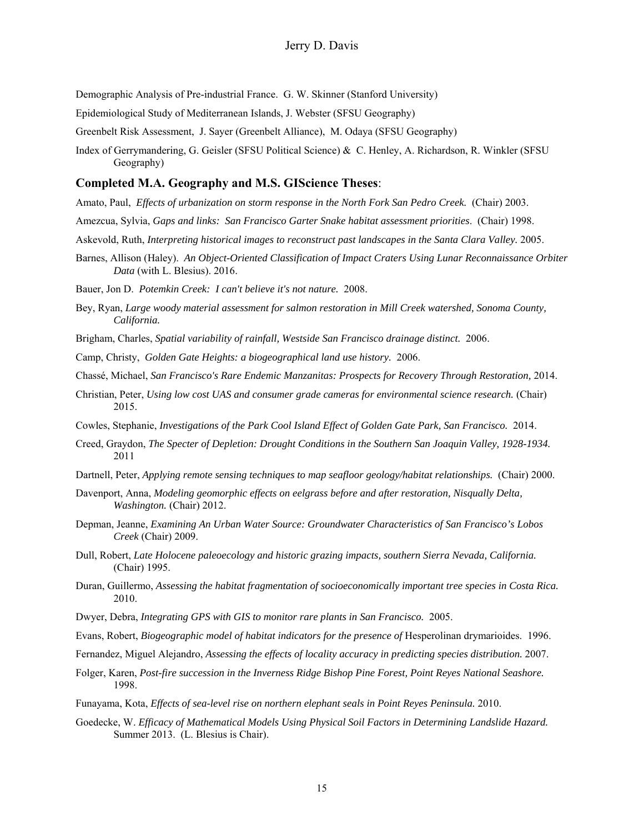- Demographic Analysis of Pre-industrial France. G. W. Skinner (Stanford University)
- Epidemiological Study of Mediterranean Islands, J. Webster (SFSU Geography)
- Greenbelt Risk Assessment, J. Sayer (Greenbelt Alliance), M. Odaya (SFSU Geography)
- Index of Gerrymandering, G. Geisler (SFSU Political Science) & C. Henley, A. Richardson, R. Winkler (SFSU Geography)

#### **Completed M.A. Geography and M.S. GIScience Theses**:

- Amato, Paul, *Effects of urbanization on storm response in the North Fork San Pedro Creek.* (Chair) 2003.
- Amezcua, Sylvia, *Gaps and links: San Francisco Garter Snake habitat assessment priorities*. (Chair) 1998.
- Askevold, Ruth, *Interpreting historical images to reconstruct past landscapes in the Santa Clara Valley.* 2005.
- Barnes, Allison (Haley). *An Object-Oriented Classification of Impact Craters Using Lunar Reconnaissance Orbiter Data* (with L. Blesius). 2016.
- Bauer, Jon D. *Potemkin Creek: I can't believe it's not nature.* 2008.
- Bey, Ryan, *Large woody material assessment for salmon restoration in Mill Creek watershed, Sonoma County, California.*
- Brigham, Charles, *Spatial variability of rainfall, Westside San Francisco drainage distinct.* 2006.
- Camp, Christy, *Golden Gate Heights: a biogeographical land use history.* 2006.
- Chassé, Michael, *San Francisco's Rare Endemic Manzanitas: Prospects for Recovery Through Restoration,* 2014.
- Christian, Peter, *Using low cost UAS and consumer grade cameras for environmental science research.* (Chair) 2015.
- Cowles, Stephanie, *Investigations of the Park Cool Island Effect of Golden Gate Park, San Francisco.* 2014.
- Creed, Graydon, *The Specter of Depletion: Drought Conditions in the Southern San Joaquin Valley, 1928-1934.* 2011
- Dartnell, Peter, *Applying remote sensing techniques to map seafloor geology/habitat relationships.* (Chair) 2000.
- Davenport, Anna, *Modeling geomorphic effects on eelgrass before and after restoration, Nisqually Delta, Washington.* (Chair) 2012.
- Depman, Jeanne, *Examining An Urban Water Source: Groundwater Characteristics of San Francisco's Lobos Creek* (Chair) 2009.
- Dull, Robert, *Late Holocene paleoecology and historic grazing impacts, southern Sierra Nevada, California.*  (Chair) 1995.
- Duran, Guillermo, *Assessing the habitat fragmentation of socioeconomically important tree species in Costa Rica.*  2010.
- Dwyer, Debra, *Integrating GPS with GIS to monitor rare plants in San Francisco.* 2005.
- Evans, Robert, *Biogeographic model of habitat indicators for the presence of Hesperolinan drymarioides.* 1996.
- Fernandez, Miguel Alejandro, *Assessing the effects of locality accuracy in predicting species distribution.* 2007.
- Folger, Karen, *Post-fire succession in the Inverness Ridge Bishop Pine Forest, Point Reyes National Seashore.* 1998.
- Funayama, Kota, *Effects of sea-level rise on northern elephant seals in Point Reyes Peninsula.* 2010.
- Goedecke, W. *Efficacy of Mathematical Models Using Physical Soil Factors in Determining Landslide Hazard.* Summer 2013. (L. Blesius is Chair).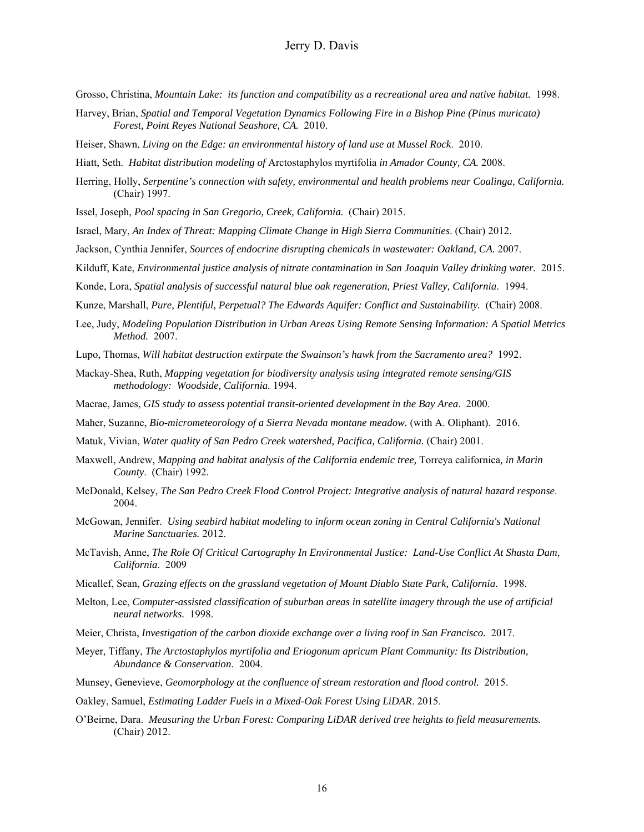Grosso, Christina, *Mountain Lake: its function and compatibility as a recreational area and native habitat.* 1998.

- Harvey, Brian, *Spatial and Temporal Vegetation Dynamics Following Fire in a Bishop Pine (Pinus muricata) Forest, Point Reyes National Seashore, CA.* 2010.
- Heiser, Shawn, *Living on the Edge: an environmental history of land use at Mussel Rock*. 2010.
- Hiatt, Seth. *Habitat distribution modeling of* Arctostaphylos myrtifolia *in Amador County, CA.* 2008.
- Herring, Holly, *Serpentine's connection with safety, environmental and health problems near Coalinga, California.*  (Chair) 1997.
- Issel, Joseph, *Pool spacing in San Gregorio, Creek, California.* (Chair) 2015.
- Israel, Mary, *An Index of Threat: Mapping Climate Change in High Sierra Communities*. (Chair) 2012.
- Jackson, Cynthia Jennifer, *Sources of endocrine disrupting chemicals in wastewater: Oakland, CA.* 2007.
- Kilduff, Kate, *Environmental justice analysis of nitrate contamination in San Joaquin Valley drinking water.* 2015.
- Konde, Lora, *Spatial analysis of successful natural blue oak regeneration, Priest Valley, California*. 1994.
- Kunze, Marshall, *Pure, Plentiful, Perpetual? The Edwards Aquifer: Conflict and Sustainability.* (Chair) 2008.
- Lee, Judy, *Modeling Population Distribution in Urban Areas Using Remote Sensing Information: A Spatial Metrics Method.* 2007.
- Lupo, Thomas, *Will habitat destruction extirpate the Swainson's hawk from the Sacramento area?* 1992.
- Mackay-Shea, Ruth, *Mapping vegetation for biodiversity analysis using integrated remote sensing/GIS methodology: Woodside, California.* 1994.
- Macrae, James, *GIS study to assess potential transit-oriented development in the Bay Area*. 2000.
- Maher, Suzanne, *Bio-micrometeorology of a Sierra Nevada montane meadow.* (with A. Oliphant). 2016.
- Matuk, Vivian, *Water quality of San Pedro Creek watershed, Pacifica, California.* (Chair) 2001.
- Maxwell, Andrew, *Mapping and habitat analysis of the California endemic tree,* Torreya californica*, in Marin County*. (Chair) 1992.
- McDonald, Kelsey, *The San Pedro Creek Flood Control Project: Integrative analysis of natural hazard response*. 2004.
- McGowan, Jennifer. *Using seabird habitat modeling to inform ocean zoning in Central California's National Marine Sanctuaries.* 2012.
- McTavish, Anne, *The Role Of Critical Cartography In Environmental Justice: Land-Use Conflict At Shasta Dam, California*. 2009
- Micallef, Sean, *Grazing effects on the grassland vegetation of Mount Diablo State Park, California.* 1998.
- Melton, Lee, *Computer-assisted classification of suburban areas in satellite imagery through the use of artificial neural networks.* 1998.
- Meier, Christa, *Investigation of the carbon dioxide exchange over a living roof in San Francisco.* 2017.
- Meyer, Tiffany, *The Arctostaphylos myrtifolia and Eriogonum apricum Plant Community: Its Distribution, Abundance & Conservation*. 2004.
- Munsey, Genevieve, *Geomorphology at the confluence of stream restoration and flood control.* 2015.
- Oakley, Samuel, *Estimating Ladder Fuels in a Mixed-Oak Forest Using LiDAR*. 2015.
- O'Beirne, Dara. *Measuring the Urban Forest: Comparing LiDAR derived tree heights to field measurements.*  (Chair) 2012.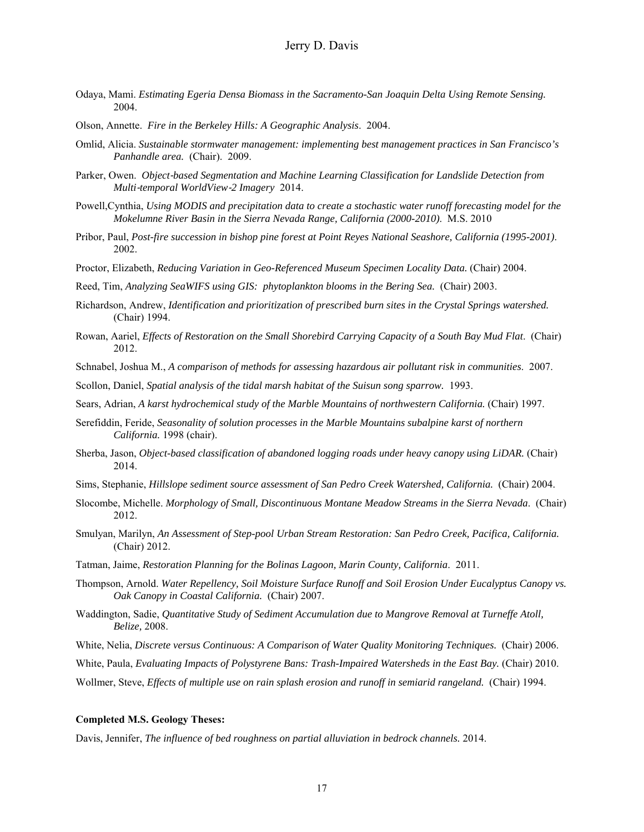- Odaya, Mami. *Estimating Egeria Densa Biomass in the Sacramento-San Joaquin Delta Using Remote Sensing.* 2004.
- Olson, Annette. *Fire in the Berkeley Hills: A Geographic Analysis*. 2004.
- Omlid, Alicia. *Sustainable stormwater management: implementing best management practices in San Francisco's Panhandle area.* (Chair). 2009.
- Parker, Owen. *Object-based Segmentation and Machine Learning Classification for Landslide Detection from Multi*‐*temporal WorldView*‐*2 Imagery* 2014.
- Powell,Cynthia, *Using MODIS and precipitation data to create a stochastic water runoff forecasting model for the Mokelumne River Basin in the Sierra Nevada Range, California (2000-2010)*. M.S. 2010
- Pribor, Paul, *Post-fire succession in bishop pine forest at Point Reyes National Seashore, California (1995-2001)*. 2002.
- Proctor, Elizabeth, *Reducing Variation in Geo-Referenced Museum Specimen Locality Data.* (Chair) 2004.
- Reed, Tim, *Analyzing SeaWIFS using GIS: phytoplankton blooms in the Bering Sea.* (Chair) 2003.
- Richardson, Andrew, *Identification and prioritization of prescribed burn sites in the Crystal Springs watershed.*  (Chair) 1994.
- Rowan, Aariel, *Effects of Restoration on the Small Shorebird Carrying Capacity of a South Bay Mud Flat*. (Chair) 2012.
- Schnabel, Joshua M., *A comparison of methods for assessing hazardous air pollutant risk in communities*. 2007.

Scollon, Daniel, *Spatial analysis of the tidal marsh habitat of the Suisun song sparrow.* 1993.

Sears, Adrian, *A karst hydrochemical study of the Marble Mountains of northwestern California.* (Chair) 1997.

- Serefiddin, Feride, *Seasonality of solution processes in the Marble Mountains subalpine karst of northern California.* 1998 (chair).
- Sherba, Jason, *Object-based classification of abandoned logging roads under heavy canopy using LiDAR.* (Chair) 2014.
- Sims, Stephanie, *Hillslope sediment source assessment of San Pedro Creek Watershed, California.* (Chair) 2004.
- Slocombe, Michelle. *Morphology of Small, Discontinuous Montane Meadow Streams in the Sierra Nevada*. (Chair) 2012.
- Smulyan, Marilyn, *An Assessment of Step-pool Urban Stream Restoration: San Pedro Creek, Pacifica, California.* (Chair) 2012.
- Tatman, Jaime, *Restoration Planning for the Bolinas Lagoon, Marin County, California*. 2011.
- Thompson, Arnold. *Water Repellency, Soil Moisture Surface Runoff and Soil Erosion Under Eucalyptus Canopy vs. Oak Canopy in Coastal California.* (Chair) 2007.
- Waddington, Sadie, *Quantitative Study of Sediment Accumulation due to Mangrove Removal at Turneffe Atoll, Belize,* 2008.
- White, Nelia, *Discrete versus Continuous: A Comparison of Water Quality Monitoring Techniques.* (Chair) 2006.
- White, Paula, *Evaluating Impacts of Polystyrene Bans: Trash-Impaired Watersheds in the East Bay.* (Chair) 2010.

Wollmer, Steve, *Effects of multiple use on rain splash erosion and runoff in semiarid rangeland.* (Chair) 1994.

#### **Completed M.S. Geology Theses:**

Davis, Jennifer, *The influence of bed roughness on partial alluviation in bedrock channels.* 2014.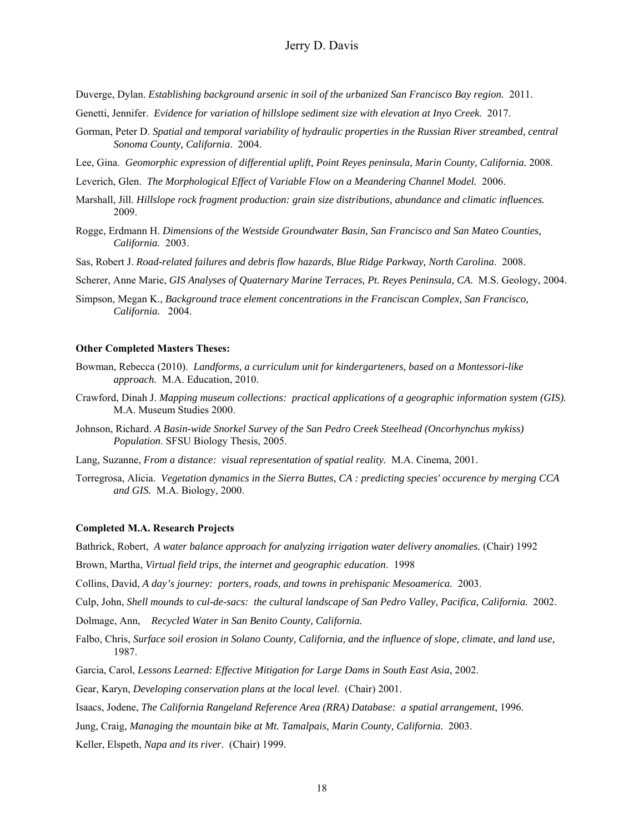Duverge, Dylan. *Establishing background arsenic in soil of the urbanized San Francisco Bay region.* 2011.

- Genetti, Jennifer. *Evidence for variation of hillslope sediment size with elevation at Inyo Creek*. 2017.
- Gorman, Peter D. *Spatial and temporal variability of hydraulic properties in the Russian River streambed, central Sonoma County, California*. 2004.
- Lee, Gina. *Geomorphic expression of differential uplift, Point Reyes peninsula, Marin County, California.* 2008.
- Leverich, Glen. *The Morphological Effect of Variable Flow on a Meandering Channel Model.* 2006.
- Marshall, Jill. *Hillslope rock fragment production: grain size distributions, abundance and climatic influences.*  2009.
- Rogge, Erdmann H. *Dimensions of the Westside Groundwater Basin, San Francisco and San Mateo Counties, California.* 2003.
- Sas, Robert J. *Road-related failures and debris flow hazards, Blue Ridge Parkway, North Carolina*. 2008.
- Scherer, Anne Marie, *GIS Analyses of Quaternary Marine Terraces, Pt. Reyes Peninsula, CA*. M.S. Geology, 2004.
- Simpson, Megan K., *Background trace element concentrations in the Franciscan Complex, San Francisco, California.* 2004.

#### **Other Completed Masters Theses:**

- Bowman, Rebecca (2010). *Landforms, a curriculum unit for kindergarteners, based on a Montessori-like approach.* M.A. Education, 2010.
- Crawford, Dinah J. *Mapping museum collections: practical applications of a geographic information system (GIS).*  M.A. Museum Studies 2000.
- Johnson, Richard. *A Basin-wide Snorkel Survey of the San Pedro Creek Steelhead (Oncorhynchus mykiss) Population*. SFSU Biology Thesis, 2005.
- Lang, Suzanne, *From a distance: visual representation of spatial reality.* M.A. Cinema, 2001.
- Torregrosa, Alicia. *Vegetation dynamics in the Sierra Buttes, CA : predicting species' occurence by merging CCA and GIS.* M.A. Biology, 2000.

#### **Completed M.A. Research Projects**

Bathrick, Robert, *A water balance approach for analyzing irrigation water delivery anomalies.* (Chair) 1992

Brown, Martha, *Virtual field trips, the internet and geographic education*. 1998

Collins, David, *A day's journey: porters, roads, and towns in prehispanic Mesoamerica.* 2003.

Culp, John, *Shell mounds to cul-de-sacs: the cultural landscape of San Pedro Valley, Pacifica, California.* 2002.

Dolmage, Ann, *Recycled Water in San Benito County, California.* 

- Falbo, Chris, *Surface soil erosion in Solano County, California, and the influence of slope, climate, and land use,*  1987.
- Garcia, Carol, *Lessons Learned: Effective Mitigation for Large Dams in South East Asia*, 2002.

Gear, Karyn, *Developing conservation plans at the local level*. (Chair) 2001.

Isaacs, Jodene, *The California Rangeland Reference Area (RRA) Database: a spatial arrangement*, 1996.

Jung, Craig, *Managing the mountain bike at Mt. Tamalpais, Marin County, California.* 2003.

Keller, Elspeth, *Napa and its river*. (Chair) 1999.